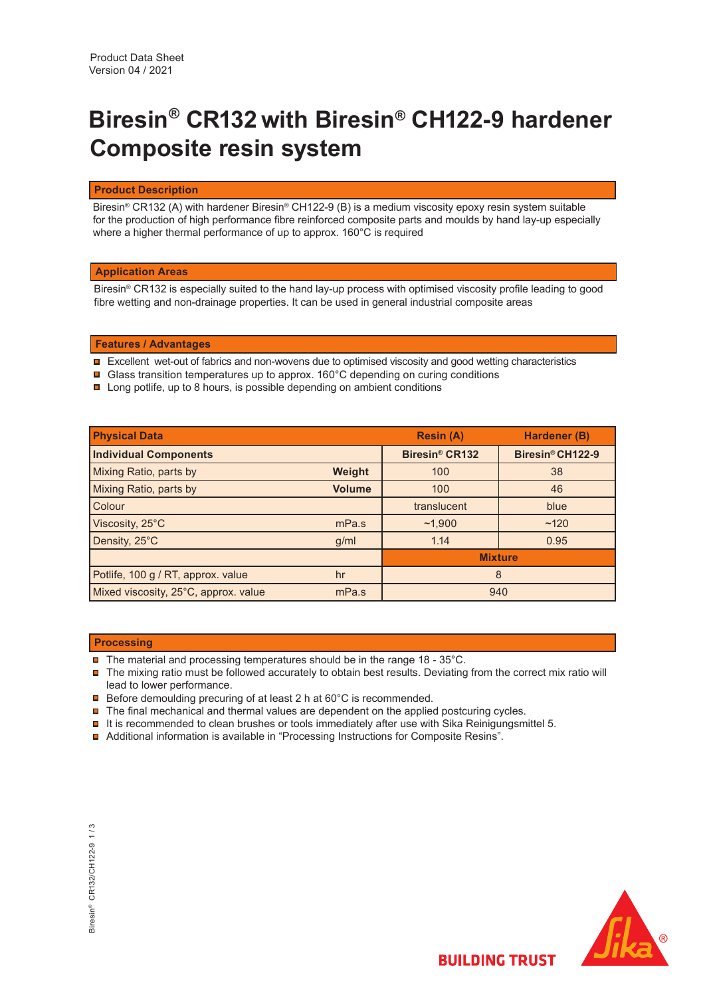# **Biresin® CR132 with Biresin® CH122-9 hardener Composite resin system**

## **Product Description**

Biresin® CR132 (A) with hardener Biresin® CH122-9 (B) is a medium viscosity epoxy resin system suitable for the production of high performance fibre reinforced composite parts and moulds by hand lay-up especially where a higher thermal performance of up to approx. 160°C is required

# **Application Areas**

Biresin® CR132 is especially suited to the hand lay-up process with optimised viscosity profile leading to good fibre wetting and non-drainage properties. It can be used in general industrial composite areas

#### **Features / Advantages**

- $\blacksquare$  Excellent wet-out of fabrics and non-wovens due to optimised viscosity and good wetting characteristics
- Glass transition temperatures up to approx. 160°C depending on curing conditions
- **□** Long potlife, up to 8 hours, is possible depending on ambient conditions

| <b>Physical Data</b>                 |               | <b>Resin (A)</b>           | Hardener (B)     |  |
|--------------------------------------|---------------|----------------------------|------------------|--|
| <b>Individual Components</b>         |               | Biresin <sup>®</sup> CR132 | Biresin® CH122-9 |  |
| Mixing Ratio, parts by               | Weight        | 100                        | 38               |  |
| Mixing Ratio, parts by               | <b>Volume</b> | 100                        | 46               |  |
| Colour                               |               | translucent                | blue             |  |
| Viscosity, 25°C                      | mPa.s         | ~1,900                     | ~120             |  |
| Density, 25°C                        | g/ml          | 1.14                       | 0.95             |  |
|                                      |               | <b>Mixture</b>             |                  |  |
| Potlife, 100 g / RT, approx. value   | hr            | 8                          |                  |  |
| Mixed viscosity, 25°C, approx. value | mPa.s         | 940                        |                  |  |

## **Processing**

- **□** The material and processing temperatures should be in the range 18 35°C.
- The mixing ratio must be followed accurately to obtain best results. Deviating from the correct mix ratio will lead to lower performance.
- **□** Before demoulding precuring of at least 2 h at 60°C is recommended.
- $\blacksquare$  The final mechanical and thermal values are dependent on the applied postcuring cycles.
- $\blacksquare$  It is recommended to clean brushes or tools immediately after use with Sika Reinigungsmittel 5.
- Additional information is available in "Processing Instructions for Composite Resins".

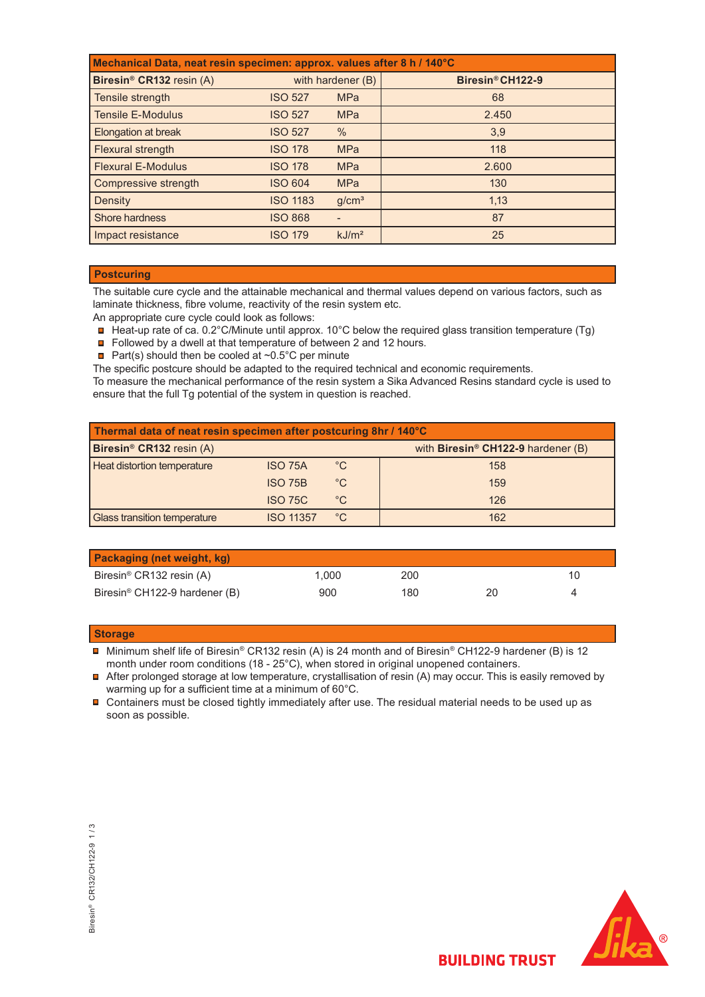| Mechanical Data, neat resin specimen: approx. values after 8 h / 140°C |                   |                   |                  |  |  |  |  |
|------------------------------------------------------------------------|-------------------|-------------------|------------------|--|--|--|--|
| Biresin <sup>®</sup> CR132 resin (A)                                   | with hardener (B) |                   | Biresin® CH122-9 |  |  |  |  |
| Tensile strength                                                       | <b>ISO 527</b>    | <b>MPa</b>        | 68               |  |  |  |  |
| <b>Tensile E-Modulus</b>                                               | <b>ISO 527</b>    | <b>MPa</b>        | 2.450            |  |  |  |  |
| Elongation at break                                                    | <b>ISO 527</b>    | $\%$              | 3,9              |  |  |  |  |
| Flexural strength                                                      | <b>ISO 178</b>    | <b>MPa</b>        | 118              |  |  |  |  |
| <b>Flexural E-Modulus</b>                                              | <b>ISO 178</b>    | <b>MPa</b>        | 2.600            |  |  |  |  |
| Compressive strength                                                   | <b>ISO 604</b>    | <b>MPa</b>        | 130              |  |  |  |  |
| Density                                                                | <b>ISO 1183</b>   | q/cm <sup>3</sup> | 1,13             |  |  |  |  |
| <b>Shore hardness</b>                                                  | <b>ISO 868</b>    |                   | 87               |  |  |  |  |
| Impact resistance                                                      | <b>ISO 179</b>    | kJ/m <sup>2</sup> | 25               |  |  |  |  |

### **Postcuring**

The suitable cure cycle and the attainable mechanical and thermal values depend on various factors, such as laminate thickness, fibre volume, reactivity of the resin system etc.

- An appropriate cure cycle could look as follows:
- Heat-up rate of ca. 0.2°C/Minute until approx. 10°C below the required glass transition temperature (Tg)
- Followed by a dwell at that temperature of between 2 and 12 hours.
- Part(s) should then be cooled at  $\sim 0.5^{\circ}$ C per minute
- The specific postcure should be adapted to the required technical and economic requirements.

To measure the mechanical performance of the resin system a Sika Advanced Resins standard cycle is used to ensure that the full Tg potential of the system in question is reached.

| Thermal data of neat resin specimen after postcuring 8hr / 140°C |                  |              |                                                |  |  |  |  |
|------------------------------------------------------------------|------------------|--------------|------------------------------------------------|--|--|--|--|
| Biresin <sup>®</sup> CR132 resin (A)                             |                  |              | with Biresin <sup>®</sup> CH122-9 hardener (B) |  |  |  |  |
| Heat distortion temperature                                      | <b>ISO 75A</b>   | $^{\circ}$ C | 158                                            |  |  |  |  |
|                                                                  | <b>ISO 75B</b>   | $^{\circ}$ C | 159                                            |  |  |  |  |
|                                                                  | <b>ISO 75C</b>   | $^{\circ}$ C | 126                                            |  |  |  |  |
| Glass transition temperature                                     | <b>ISO 11357</b> | $^{\circ}C$  | 162                                            |  |  |  |  |

| <b>Packaging (net weight, kg)</b>         |      |     |    |  |
|-------------------------------------------|------|-----|----|--|
| Biresin <sup>®</sup> CR132 resin (A)      | .000 | 200 |    |  |
| Biresin <sup>®</sup> CH122-9 hardener (B) | 900  | 180 | 20 |  |

#### **Storage**

 Minimum shelf life of Biresin® CR132 resin (A) is 24 month and of Biresin® CH122-9 hardener (B) is 12 month under room conditions (18 - 25°C), when stored in original unopened containers.

 $\blacksquare$ After prolonged storage at low temperature, crystallisation of resin (A) may occur. This is easily removed by warming up for a sufficient time at a minimum of 60°C.

 $\blacksquare$  Containers must be closed tightly immediately after use. The residual material needs to be used up as soon as possible.